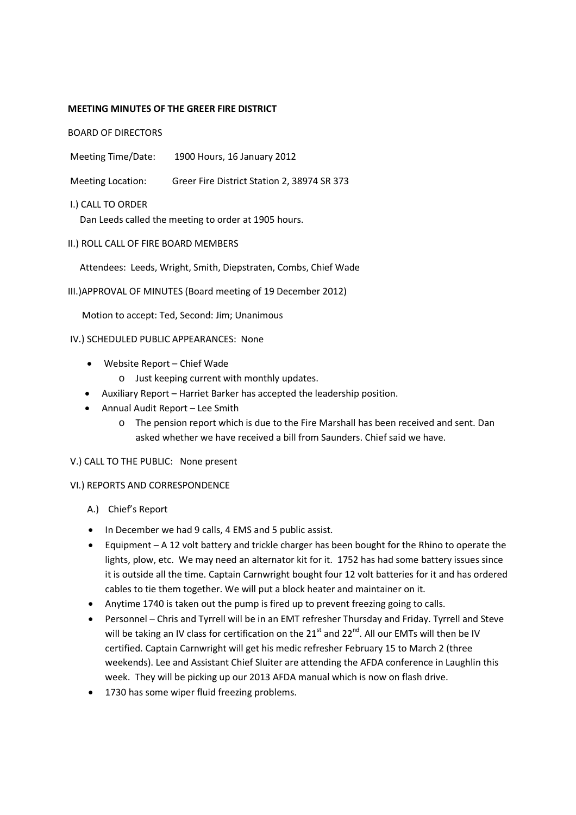#### **MEETING MINUTES OF THE GREER FIRE DISTRICT**

BOARD OF DIRECTORS

- Meeting Time/Date: 1900 Hours, 16 January 2012
- Meeting Location: Greer Fire District Station 2, 38974 SR 373
- I.) CALL TO ORDER

Dan Leeds called the meeting to order at 1905 hours.

II.) ROLL CALL OF FIRE BOARD MEMBERS

Attendees: Leeds, Wright, Smith, Diepstraten, Combs, Chief Wade

III.)APPROVAL OF MINUTES (Board meeting of 19 December 2012)

Motion to accept: Ted, Second: Jim; Unanimous

#### IV.) SCHEDULED PUBLIC APPEARANCES: None

- Website Report Chief Wade
	- o Just keeping current with monthly updates.
- Auxiliary Report Harriet Barker has accepted the leadership position.
- Annual Audit Report Lee Smith
	- o The pension report which is due to the Fire Marshall has been received and sent. Dan asked whether we have received a bill from Saunders. Chief said we have.

#### V.) CALL TO THE PUBLIC: None present

#### VI.) REPORTS AND CORRESPONDENCE

- A.) Chief's Report
- In December we had 9 calls, 4 EMS and 5 public assist.
- Equipment A 12 volt battery and trickle charger has been bought for the Rhino to operate the lights, plow, etc. We may need an alternator kit for it. 1752 has had some battery issues since it is outside all the time. Captain Carnwright bought four 12 volt batteries for it and has ordered cables to tie them together. We will put a block heater and maintainer on it.
- Anytime 1740 is taken out the pump is fired up to prevent freezing going to calls.
- Personnel Chris and Tyrrell will be in an EMT refresher Thursday and Friday. Tyrrell and Steve will be taking an IV class for certification on the  $21<sup>st</sup>$  and  $22<sup>nd</sup>$ . All our EMTs will then be IV certified. Captain Carnwright will get his medic refresher February 15 to March 2 (three weekends). Lee and Assistant Chief Sluiter are attending the AFDA conference in Laughlin this week. They will be picking up our 2013 AFDA manual which is now on flash drive.
- 1730 has some wiper fluid freezing problems.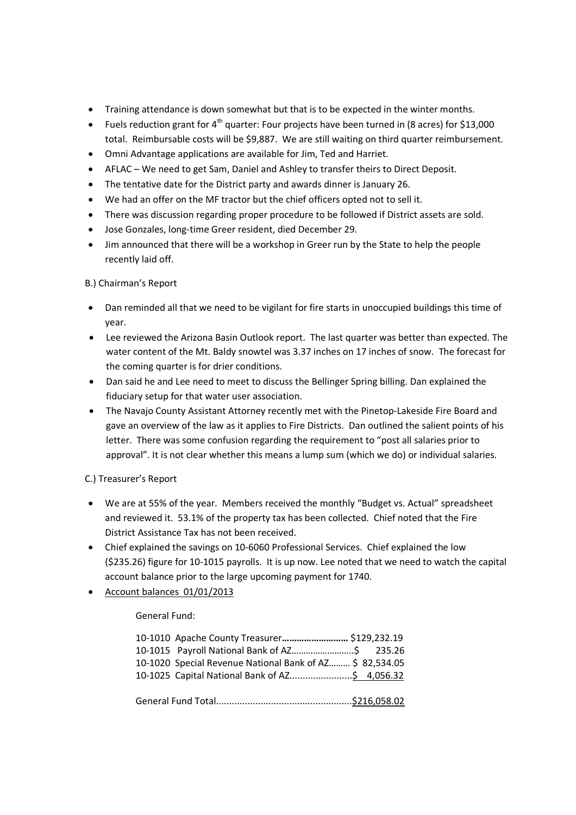- Training attendance is down somewhat but that is to be expected in the winter months.
- Fuels reduction grant for 4<sup>th</sup> quarter: Four projects have been turned in (8 acres) for \$13,000 total. Reimbursable costs will be \$9,887. We are still waiting on third quarter reimbursement.
- Omni Advantage applications are available for Jim, Ted and Harriet.
- AFLAC We need to get Sam, Daniel and Ashley to transfer theirs to Direct Deposit.
- The tentative date for the District party and awards dinner is January 26.
- We had an offer on the MF tractor but the chief officers opted not to sell it.
- There was discussion regarding proper procedure to be followed if District assets are sold.
- Jose Gonzales, long-time Greer resident, died December 29.
- Jim announced that there will be a workshop in Greer run by the State to help the people recently laid off.

## B.) Chairman's Report

- Dan reminded all that we need to be vigilant for fire starts in unoccupied buildings this time of year.
- Lee reviewed the Arizona Basin Outlook report. The last quarter was better than expected. The water content of the Mt. Baldy snowtel was 3.37 inches on 17 inches of snow. The forecast for the coming quarter is for drier conditions.
- Dan said he and Lee need to meet to discuss the Bellinger Spring billing. Dan explained the fiduciary setup for that water user association.
- The Navajo County Assistant Attorney recently met with the Pinetop-Lakeside Fire Board and gave an overview of the law as it applies to Fire Districts. Dan outlined the salient points of his letter. There was some confusion regarding the requirement to "post all salaries prior to approval". It is not clear whether this means a lump sum (which we do) or individual salaries.

## C.) Treasurer's Report

- We are at 55% of the year. Members received the monthly "Budget vs. Actual" spreadsheet and reviewed it. 53.1% of the property tax has been collected. Chief noted that the Fire District Assistance Tax has not been received.
- Chief explained the savings on 10-6060 Professional Services. Chief explained the low (\$235.26) figure for 10-1015 payrolls. It is up now. Lee noted that we need to watch the capital account balance prior to the large upcoming payment for 1740.
- Account balances 01/01/2013

## General Fund:

| 10-1010 Apache County Treasurer \$129,232.19             |  |
|----------------------------------------------------------|--|
| 10-1015 Payroll National Bank of AZ\$ 235.26             |  |
| 10-1020 Special Revenue National Bank of AZ \$ 82,534.05 |  |
| 10-1025 Capital National Bank of AZ\$ 4,056.32           |  |
|                                                          |  |
|                                                          |  |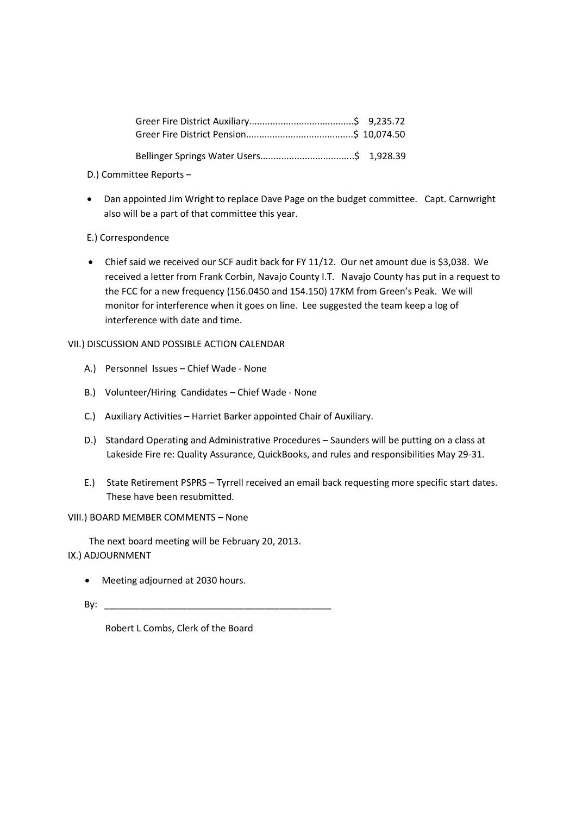- D.) Committee Reports –
- Dan appointed Jim Wright to replace Dave Page on the budget committee. Capt. Carnwright also will be a part of that committee this year.

# E.) Correspondence

 Chief said we received our SCF audit back for FY 11/12. Our net amount due is \$3,038. We received a letter from Frank Corbin, Navajo County I.T. Navajo County has put in a request to the FCC for a new frequency (156.0450 and 154.150) 17KM from Green's Peak. We will monitor for interference when it goes on line. Lee suggested the team keep a log of interference with date and time.

VII.) DISCUSSION AND POSSIBLE ACTION CALENDAR

- A.) Personnel Issues Chief Wade None
- B.) Volunteer/Hiring Candidates Chief Wade None
- C.) Auxiliary Activities Harriet Barker appointed Chair of Auxiliary.
- D.) Standard Operating and Administrative Procedures Saunders will be putting on a class at Lakeside Fire re: Quality Assurance, QuickBooks, and rules and responsibilities May 29-31.
- E.) State Retirement PSPRS Tyrrell received an email back requesting more specific start dates. These have been resubmitted.

## VIII.) BOARD MEMBER COMMENTS – None

The next board meeting will be February 20, 2013.

- IX.) ADJOURNMENT
	- Meeting adjourned at 2030 hours.
	- By: \_\_\_\_\_\_\_\_\_\_\_\_\_\_\_\_\_\_\_\_\_\_\_\_\_\_\_\_\_\_\_\_\_\_\_\_\_\_\_\_\_\_\_\_

Robert L Combs, Clerk of the Board